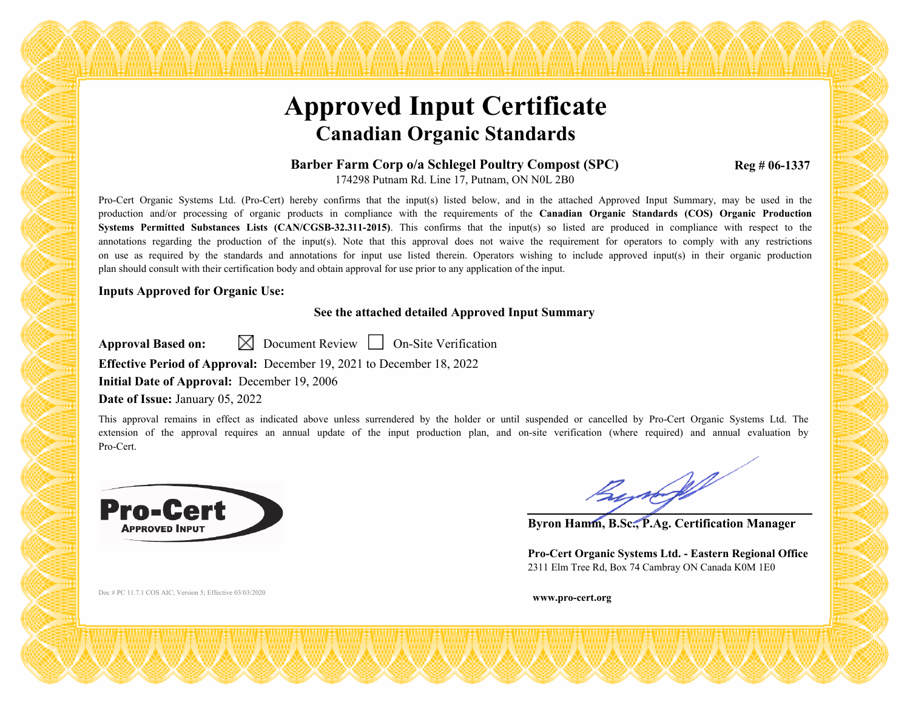# **Approved Input Certificate Canadian Organic Standards**

#### **Barber Farm Corp o/a Schlegel Poultry Compost (SPC)** 174298 Putnam Rd. Line 17, Putnam, ON N0L 2B0

Pro-Cert Organic Systems Ltd. (Pro-Cert) hereby confirms that the input(s) listed below, and in the attached Approved Input Summary, may be used in the production and/or processing of organic products in compliance with the requirements of the **Canadian Organic Standards (COS) Organic Production Systems Permitted Substances Lists (CAN/CGSB-32.311-2015)**. This confirms that the input(s) so listed are produced in compliance with respect to the annotations regarding the production of the input(s). Note that this approval does not waive the requirement for operators to comply with any restrictions on use as required by the standards and annotations for input use listed therein. Operators wishing to include approved input(s) in their organic production plan should consult with their certification body and obtain approval for use prior to any application of the input.

#### **Inputs Approved for Organic Use:**

### **See the attached detailed Approved Input Summary**

**Approval Based on:**  $\boxtimes$  Document Review **On-Site Verification** 

**Effective Period of Approval:** December 19, 2021 to December 18, 2022

**Initial Date of Approval:** December 19, 2006

### **Date of Issue:** January 05, 2022

This approval remains in effect as indicated above unless surrendered by the holder or until suspended or cancelled by Pro-Cert Organic Systems Ltd. The extension of the approval requires an annual update of the input production plan, and on-site verification (where required) and annual evaluation by Pro-Cert.



Bynopf

**Reg # 06-1337** 

**Byron Hamm, B.Sc., P.Ag. Certification Manager**

**Pro-Cert Organic Systems Ltd. - Eastern Regional Office** 2311 Elm Tree Rd, Box 74 Cambray ON Canada K0M 1E0

Doc # PC 11.7.1 COS AIC; Version 5; Effective 03/03/2020 **www.pro-cert.org**